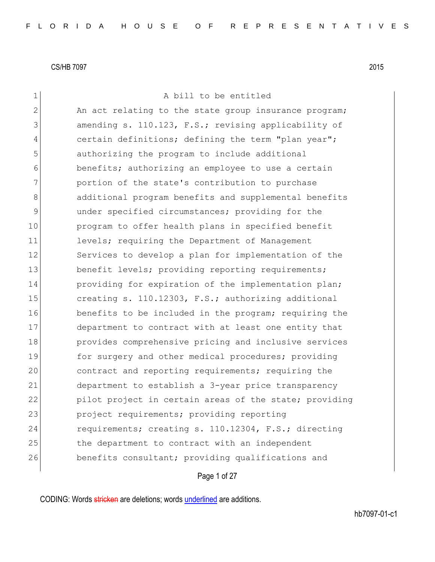| $\mathbf 1$    | A bill to be entitled                                  |
|----------------|--------------------------------------------------------|
| $\overline{2}$ | An act relating to the state group insurance program;  |
| 3              | amending s. 110.123, F.S.; revising applicability of   |
| 4              | certain definitions; defining the term "plan year";    |
| 5              | authorizing the program to include additional          |
| 6              | benefits; authorizing an employee to use a certain     |
| 7              | portion of the state's contribution to purchase        |
| 8              | additional program benefits and supplemental benefits  |
| 9              | under specified circumstances; providing for the       |
| 10             | program to offer health plans in specified benefit     |
| 11             | levels; requiring the Department of Management         |
| 12             | Services to develop a plan for implementation of the   |
| 13             | benefit levels; providing reporting requirements;      |
| 14             | providing for expiration of the implementation plan;   |
| 15             | creating s. 110.12303, F.S.; authorizing additional    |
| 16             | benefits to be included in the program; requiring the  |
| 17             | department to contract with at least one entity that   |
| 18             | provides comprehensive pricing and inclusive services  |
| 19             | for surgery and other medical procedures; providing    |
| 20             | contract and reporting requirements; requiring the     |
| 21             | department to establish a 3-year price transparency    |
| 22             | pilot project in certain areas of the state; providing |
| 23             | project requirements; providing reporting              |
| 24             | requirements; creating s. 110.12304, F.S.; directing   |
| 25             | the department to contract with an independent         |
| 26             | benefits consultant; providing qualifications and      |
|                | Page 1 of 27                                           |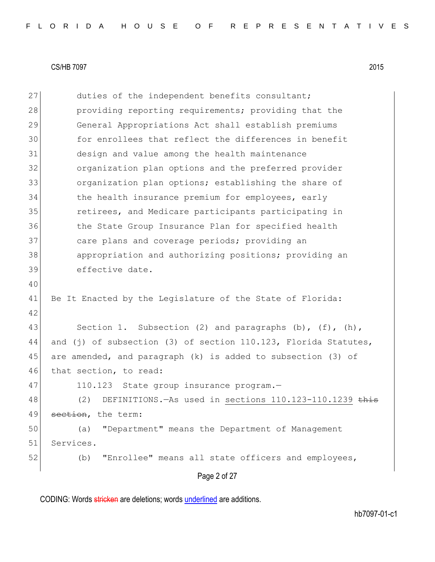Page 2 of 27 27 duties of the independent benefits consultant; 28 providing reporting requirements; providing that the 29 General Appropriations Act shall establish premiums 30 for enrollees that reflect the differences in benefit 31 design and value among the health maintenance 32 organization plan options and the preferred provider 33 organization plan options; establishing the share of 34 the health insurance premium for employees, early 35 **retirees, and Medicare participants participating in** 36 the State Group Insurance Plan for specified health 37 care plans and coverage periods; providing an 38 appropriation and authorizing positions; providing an 39 effective date. 40 41 Be It Enacted by the Legislature of the State of Florida: 42 43 Section 1. Subsection (2) and paragraphs  $(b)$ ,  $(f)$ ,  $(h)$ , 44 and (j) of subsection (3) of section 110.123, Florida Statutes, 45 are amended, and paragraph  $(k)$  is added to subsection (3) of 46 that section, to read: 47 110.123 State group insurance program.-48 (2) DEFINITIONS.—As used in sections 110.123-110.1239 <del>this</del> 49 section, the term: 50 (a) "Department" means the Department of Management 51 Services. 52 (b) "Enrollee" means all state officers and employees,

CODING: Words stricken are deletions; words underlined are additions.

hb7097-01-c1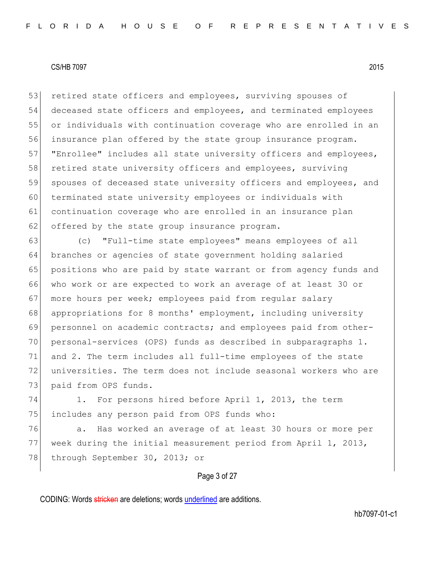53 retired state officers and employees, surviving spouses of 54 deceased state officers and employees, and terminated employees 55 or individuals with continuation coverage who are enrolled in an 56 insurance plan offered by the state group insurance program. 57 "Enrollee" includes all state university officers and employees, 58 retired state university officers and employees, surviving 59 spouses of deceased state university officers and employees, and 60 terminated state university employees or individuals with 61 continuation coverage who are enrolled in an insurance plan 62 offered by the state group insurance program.

 (c) "Full-time state employees" means employees of all branches or agencies of state government holding salaried positions who are paid by state warrant or from agency funds and who work or are expected to work an average of at least 30 or 67 more hours per week; employees paid from regular salary appropriations for 8 months' employment, including university personnel on academic contracts; and employees paid from other- personal-services (OPS) funds as described in subparagraphs 1. and 2. The term includes all full-time employees of the state universities. The term does not include seasonal workers who are 73 paid from OPS funds.

74 1. For persons hired before April 1, 2013, the term 75 includes any person paid from OPS funds who:

76 a. Has worked an average of at least 30 hours or more per 77 week during the initial measurement period from April 1, 2013, 78 through September 30, 2013; or

#### Page 3 of 27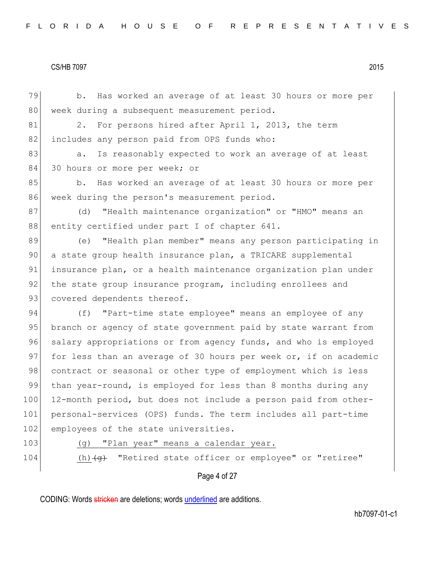79 b. Has worked an average of at least 30 hours or more per 80 week during a subsequent measurement period. 81 2. For persons hired after April 1, 2013, the term 82 includes any person paid from OPS funds who: 83 a. Is reasonably expected to work an average of at least 84 30 hours or more per week; or 85 b. Has worked an average of at least 30 hours or more per 86 week during the person's measurement period. 87 (d) "Health maintenance organization" or "HMO" means an 88 entity certified under part I of chapter 641. 89 (e) "Health plan member" means any person participating in 90 a state group health insurance plan, a TRICARE supplemental 91 insurance plan, or a health maintenance organization plan under 92 the state group insurance program, including enrollees and 93 covered dependents thereof. 94 (f) "Part-time state employee" means an employee of any 95 branch or agency of state government paid by state warrant from 96 salary appropriations or from agency funds, and who is employed 97 for less than an average of 30 hours per week or, if on academic 98 contract or seasonal or other type of employment which is less 99 than year-round, is employed for less than 8 months during any 100 12-month period, but does not include a person paid from other-101 personal-services (OPS) funds. The term includes all part-time 102 employees of the state universities. 103 (g) "Plan year" means a calendar year.

- 
- 

104  $(h)$   $\left\langle \Theta \right\rangle$  "Retired state officer or employee" or "retiree"

Page 4 of 27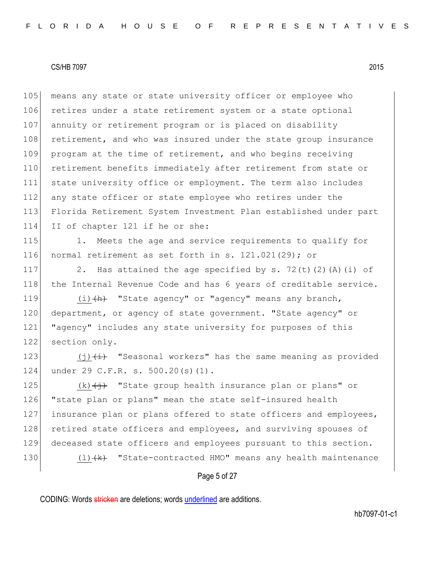105 means any state or state university officer or employee who 106 retires under a state retirement system or a state optional 107 annuity or retirement program or is placed on disability 108 retirement, and who was insured under the state group insurance 109 program at the time of retirement, and who begins receiving 110 retirement benefits immediately after retirement from state or 111 state university office or employment. The term also includes 112 any state officer or state employee who retires under the 113 Florida Retirement System Investment Plan established under part 114 II of chapter 121 if he or she:

115 1. Meets the age and service requirements to qualify for 116 normal retirement as set forth in s. 121.021(29); or

117 2. Has attained the age specified by s. 72(t)(2)(A)(i) of 118 | the Internal Revenue Code and has 6 years of creditable service.

119  $(i)$   $(h)$  "State agency" or "agency" means any branch, 120 department, or agency of state government. "State agency" or 121 "agency" includes any state university for purposes of this 122 section only.

123  $(i)$   $(i)$  "Seasonal workers" has the same meaning as provided 124 under 29 C.F.R. s. 500.20(s)(1).

125  $(k)$   $\left(\frac{1}{2}\right)$  "State group health insurance plan or plans" or 126 "state plan or plans" mean the state self-insured health 127 insurance plan or plans offered to state officers and employees, 128 retired state officers and employees, and surviving spouses of 129 deceased state officers and employees pursuant to this section.

130  $(l)$   $(k)$  "State-contracted HMO" means any health maintenance

#### Page 5 of 27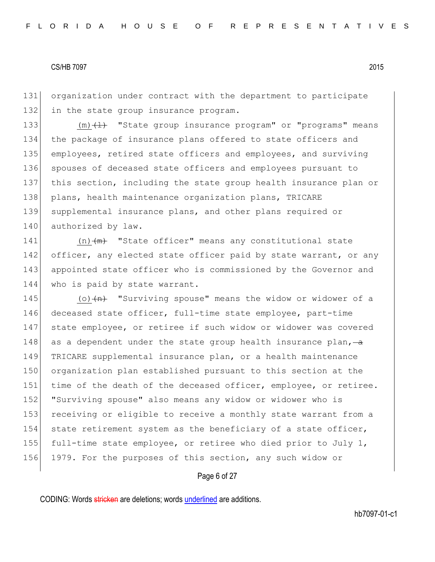131 organization under contract with the department to participate 132 in the state group insurance program.

133  $(m)$   $(1)$  "State group insurance program" or "programs" means 134 the package of insurance plans offered to state officers and 135 employees, retired state officers and employees, and surviving 136 spouses of deceased state officers and employees pursuant to 137 this section, including the state group health insurance plan or 138 plans, health maintenance organization plans, TRICARE 139 supplemental insurance plans, and other plans required or 140 authorized by law.

141  $(n)$   $(m)$  "State officer" means any constitutional state 142 officer, any elected state officer paid by state warrant, or any 143 appointed state officer who is commissioned by the Governor and 144 who is paid by state warrant.

145 (o) (n) "Surviving spouse" means the widow or widower of a 146 deceased state officer, full-time state employee, part-time 147 state employee, or retiree if such widow or widower was covered 148 as a dependent under the state group health insurance plan,  $-\alpha$ 149 TRICARE supplemental insurance plan, or a health maintenance 150 organization plan established pursuant to this section at the 151 time of the death of the deceased officer, employee, or retiree. 152 "Surviving spouse" also means any widow or widower who is 153 receiving or eligible to receive a monthly state warrant from a 154 state retirement system as the beneficiary of a state officer, 155 full-time state employee, or retiree who died prior to July 1, 156 1979. For the purposes of this section, any such widow or

# Page 6 of 27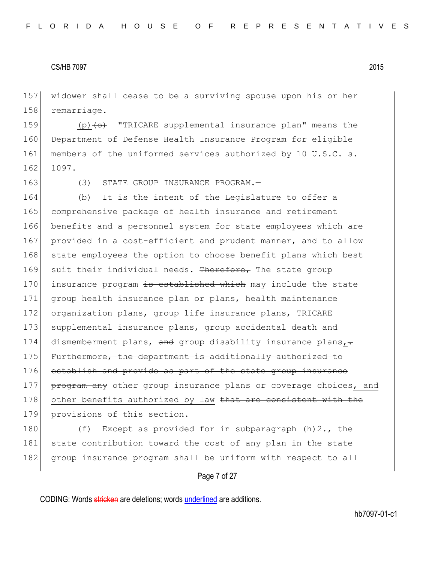157 widower shall cease to be a surviving spouse upon his or her 158 remarriage.

159  $(p)$  (p) (o) "TRICARE supplemental insurance plan" means the 160 Department of Defense Health Insurance Program for eligible 161 members of the uniformed services authorized by 10 U.S.C. s. 162 1097.

163 (3) STATE GROUP INSURANCE PROGRAM.

164 (b) It is the intent of the Legislature to offer a 165 comprehensive package of health insurance and retirement 166 benefits and a personnel system for state employees which are 167 provided in a cost-efficient and prudent manner, and to allow 168 state employees the option to choose benefit plans which best 169 suit their individual needs. Therefore, The state group 170 insurance program is established which may include the state 171 group health insurance plan or plans, health maintenance 172 organization plans, group life insurance plans, TRICARE 173 supplemental insurance plans, group accidental death and 174 dismemberment plans, and group disability insurance plans, $\div$ 175 Furthermore, the department is additionally authorized to 176 establish and provide as part of the state group insurance 177 **program any** other group insurance plans or coverage choices, and 178 other benefits authorized by law that are consistent with the 179 provisions of this section.

180 (f) Except as provided for in subparagraph (h)2., the 181 state contribution toward the cost of any plan in the state 182 group insurance program shall be uniform with respect to all

Page 7 of 27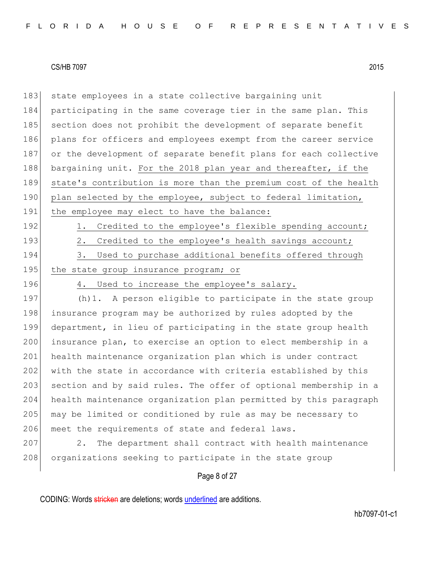| 183 | state employees in a state collective bargaining unit            |  |  |  |  |  |  |  |  |  |
|-----|------------------------------------------------------------------|--|--|--|--|--|--|--|--|--|
| 184 | participating in the same coverage tier in the same plan. This   |  |  |  |  |  |  |  |  |  |
| 185 | section does not prohibit the development of separate benefit    |  |  |  |  |  |  |  |  |  |
| 186 | plans for officers and employees exempt from the career service  |  |  |  |  |  |  |  |  |  |
| 187 | or the development of separate benefit plans for each collective |  |  |  |  |  |  |  |  |  |
| 188 | bargaining unit. For the 2018 plan year and thereafter, if the   |  |  |  |  |  |  |  |  |  |
| 189 | state's contribution is more than the premium cost of the health |  |  |  |  |  |  |  |  |  |
| 190 | plan selected by the employee, subject to federal limitation,    |  |  |  |  |  |  |  |  |  |
| 191 | the employee may elect to have the balance:                      |  |  |  |  |  |  |  |  |  |
| 192 | Credited to the employee's flexible spending account;<br>1.      |  |  |  |  |  |  |  |  |  |
| 193 | Credited to the employee's health savings account;<br>2.         |  |  |  |  |  |  |  |  |  |
| 194 | 3. Used to purchase additional benefits offered through          |  |  |  |  |  |  |  |  |  |
| 195 | the state group insurance program; or                            |  |  |  |  |  |  |  |  |  |
| 196 | Used to increase the employee's salary.<br>4.                    |  |  |  |  |  |  |  |  |  |
| 197 | (h) 1. A person eligible to participate in the state group       |  |  |  |  |  |  |  |  |  |
| 198 | insurance program may be authorized by rules adopted by the      |  |  |  |  |  |  |  |  |  |
| 199 | department, in lieu of participating in the state group health   |  |  |  |  |  |  |  |  |  |
| 200 | insurance plan, to exercise an option to elect membership in a   |  |  |  |  |  |  |  |  |  |
| 201 | health maintenance organization plan which is under contract     |  |  |  |  |  |  |  |  |  |
| 202 | with the state in accordance with criteria established by this   |  |  |  |  |  |  |  |  |  |
| 203 | section and by said rules. The offer of optional membership in a |  |  |  |  |  |  |  |  |  |
| 204 | health maintenance organization plan permitted by this paragraph |  |  |  |  |  |  |  |  |  |
| 205 | may be limited or conditioned by rule as may be necessary to     |  |  |  |  |  |  |  |  |  |
| 206 | meet the requirements of state and federal laws.                 |  |  |  |  |  |  |  |  |  |
| 207 | The department shall contract with health maintenance<br>2.      |  |  |  |  |  |  |  |  |  |
| 208 | organizations seeking to participate in the state group          |  |  |  |  |  |  |  |  |  |
|     | Page 8 of 27                                                     |  |  |  |  |  |  |  |  |  |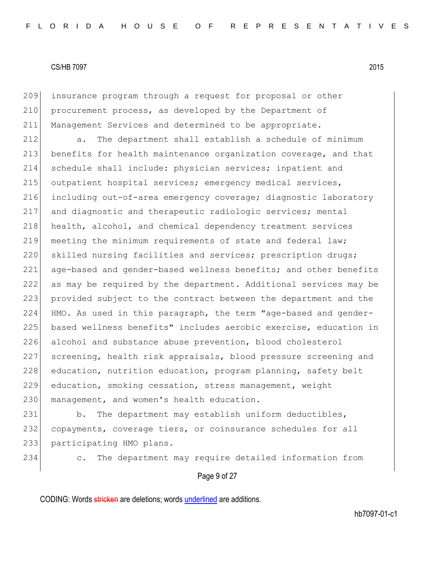209 insurance program through a request for proposal or other 210 procurement process, as developed by the Department of 211 Management Services and determined to be appropriate.

212 a. The department shall establish a schedule of minimum 213 benefits for health maintenance organization coverage, and that 214 schedule shall include: physician services; inpatient and 215 outpatient hospital services; emergency medical services, 216 including out-of-area emergency coverage; diagnostic laboratory 217 and diagnostic and therapeutic radiologic services; mental 218 health, alcohol, and chemical dependency treatment services 219 meeting the minimum requirements of state and federal law; 220 skilled nursing facilities and services; prescription drugs; 221 age-based and gender-based wellness benefits; and other benefits 222 as may be required by the department. Additional services may be 223 provided subject to the contract between the department and the 224 HMO. As used in this paragraph, the term "age-based and gender-225 based wellness benefits" includes aerobic exercise, education in 226 alcohol and substance abuse prevention, blood cholesterol 227 screening, health risk appraisals, blood pressure screening and 228 education, nutrition education, program planning, safety belt 229 education, smoking cessation, stress management, weight 230 management, and women's health education.

231 b. The department may establish uniform deductibles, 232 copayments, coverage tiers, or coinsurance schedules for all 233 participating HMO plans.

234 c. The department may require detailed information from

Page 9 of 27

CODING: Words stricken are deletions; words underlined are additions.

hb7097-01-c1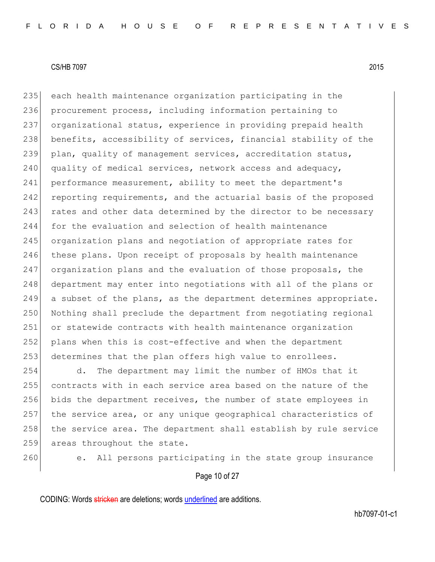235 each health maintenance organization participating in the 236 procurement process, including information pertaining to 237 organizational status, experience in providing prepaid health 238 benefits, accessibility of services, financial stability of the 239 plan, quality of management services, accreditation status,  $240$  quality of medical services, network access and adequacy, 241 performance measurement, ability to meet the department's 242 reporting requirements, and the actuarial basis of the proposed 243 rates and other data determined by the director to be necessary 244 for the evaluation and selection of health maintenance 245 organization plans and negotiation of appropriate rates for 246 these plans. Upon receipt of proposals by health maintenance 247 organization plans and the evaluation of those proposals, the 248 department may enter into negotiations with all of the plans or 249 a subset of the plans, as the department determines appropriate. 250 Nothing shall preclude the department from negotiating regional 251 or statewide contracts with health maintenance organization 252 plans when this is cost-effective and when the department 253 determines that the plan offers high value to enrollees.

 d. The department may limit the number of HMOs that it contracts with in each service area based on the nature of the bids the department receives, the number of state employees in the service area, or any unique geographical characteristics of 258 the service area. The department shall establish by rule service 259 areas throughout the state.

260 e. All persons participating in the state group insurance

Page 10 of 27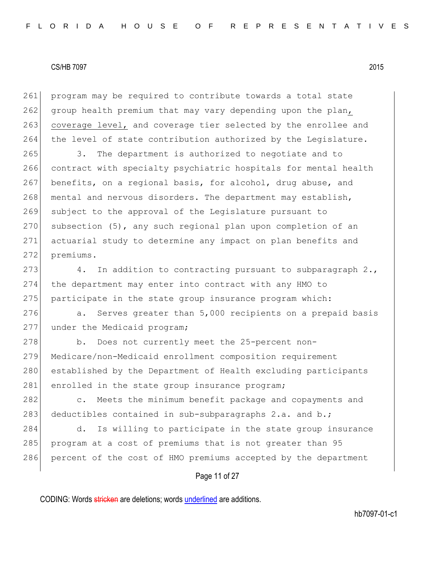261 program may be required to contribute towards a total state 262 group health premium that may vary depending upon the plan, 263 coverage level, and coverage tier selected by the enrollee and 264 the level of state contribution authorized by the Legislature.

265 3. The department is authorized to negotiate and to 266 contract with specialty psychiatric hospitals for mental health 267 benefits, on a regional basis, for alcohol, drug abuse, and 268 mental and nervous disorders. The department may establish, 269 subject to the approval of the Legislature pursuant to 270 subsection  $(5)$ , any such regional plan upon completion of an 271 actuarial study to determine any impact on plan benefits and 272 premiums.

273  $\vert$  4. In addition to contracting pursuant to subparagraph 2., 274 the department may enter into contract with any HMO to 275 participate in the state group insurance program which:

276 a. Serves greater than 5,000 recipients on a prepaid basis 277 under the Medicaid program;

278 b. Does not currently meet the 25-percent non-279 Medicare/non-Medicaid enrollment composition requirement 280 established by the Department of Health excluding participants 281 enrolled in the state group insurance program;

282 c. Meets the minimum benefit package and copayments and 283 deductibles contained in sub-subparagraphs 2.a. and b.;

284 d. Is willing to participate in the state group insurance 285 program at a cost of premiums that is not greater than 95 286 percent of the cost of HMO premiums accepted by the department

# Page 11 of 27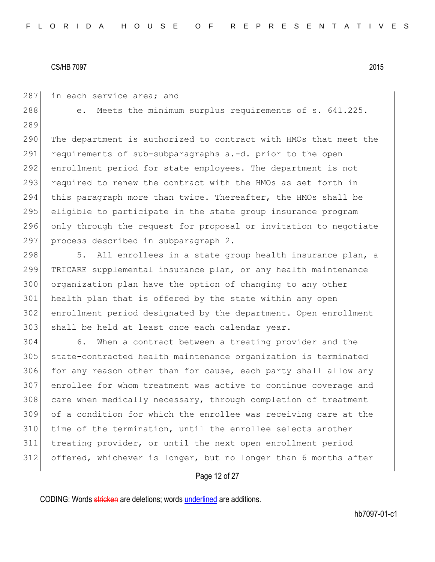287 in each service area; and

288 e. Meets the minimum surplus requirements of s. 641.225. 289

290 The department is authorized to contract with HMOs that meet the 291 requirements of sub-subparagraphs a.-d. prior to the open 292 enrollment period for state employees. The department is not 293 required to renew the contract with the HMOs as set forth in 294 this paragraph more than twice. Thereafter, the HMOs shall be 295 eligible to participate in the state group insurance program 296 only through the request for proposal or invitation to negotiate 297 process described in subparagraph 2.

298 5. All enrollees in a state group health insurance plan, a 299 TRICARE supplemental insurance plan, or any health maintenance 300 organization plan have the option of changing to any other 301 health plan that is offered by the state within any open 302 enrollment period designated by the department. Open enrollment 303 shall be held at least once each calendar year.

 6. When a contract between a treating provider and the state-contracted health maintenance organization is terminated 306 for any reason other than for cause, each party shall allow any enrollee for whom treatment was active to continue coverage and 308 care when medically necessary, through completion of treatment of a condition for which the enrollee was receiving care at the 310 time of the termination, until the enrollee selects another treating provider, or until the next open enrollment period offered, whichever is longer, but no longer than 6 months after

# Page 12 of 27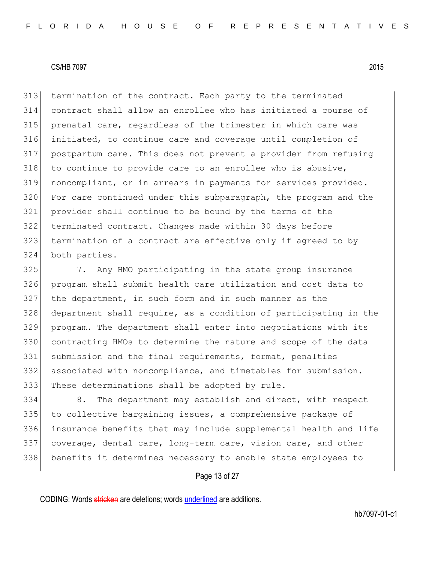termination of the contract. Each party to the terminated contract shall allow an enrollee who has initiated a course of 315 prenatal care, regardless of the trimester in which care was initiated, to continue care and coverage until completion of postpartum care. This does not prevent a provider from refusing to continue to provide care to an enrollee who is abusive, noncompliant, or in arrears in payments for services provided. For care continued under this subparagraph, the program and the provider shall continue to be bound by the terms of the terminated contract. Changes made within 30 days before termination of a contract are effective only if agreed to by both parties.

 7. Any HMO participating in the state group insurance program shall submit health care utilization and cost data to the department, in such form and in such manner as the department shall require, as a condition of participating in the program. The department shall enter into negotiations with its contracting HMOs to determine the nature and scope of the data submission and the final requirements, format, penalties associated with noncompliance, and timetables for submission. 333 These determinations shall be adopted by rule.

334 8. The department may establish and direct, with respect 335 to collective bargaining issues, a comprehensive package of insurance benefits that may include supplemental health and life coverage, dental care, long-term care, vision care, and other benefits it determines necessary to enable state employees to

Page 13 of 27

CODING: Words stricken are deletions; words underlined are additions.

hb7097-01-c1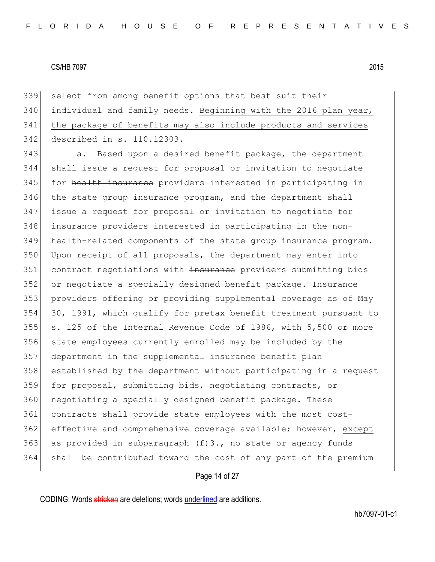select from among benefit options that best suit their individual and family needs. Beginning with the 2016 plan year, the package of benefits may also include products and services described in s. 110.12303.

343 a. Based upon a desired benefit package, the department shall issue a request for proposal or invitation to negotiate 345 for health insurance providers interested in participating in 346 the state group insurance program, and the department shall issue a request for proposal or invitation to negotiate for 348 insurance providers interested in participating in the non- health-related components of the state group insurance program. Upon receipt of all proposals, the department may enter into 351 contract negotiations with insurance providers submitting bids or negotiate a specially designed benefit package. Insurance providers offering or providing supplemental coverage as of May 30, 1991, which qualify for pretax benefit treatment pursuant to  $\vert$  s. 125 of the Internal Revenue Code of 1986, with 5,500 or more state employees currently enrolled may be included by the department in the supplemental insurance benefit plan established by the department without participating in a request for proposal, submitting bids, negotiating contracts, or 360 negotiating a specially designed benefit package. These contracts shall provide state employees with the most cost- effective and comprehensive coverage available; however, except as provided in subparagraph  $(f)3$ ., no state or agency funds shall be contributed toward the cost of any part of the premium

#### Page 14 of 27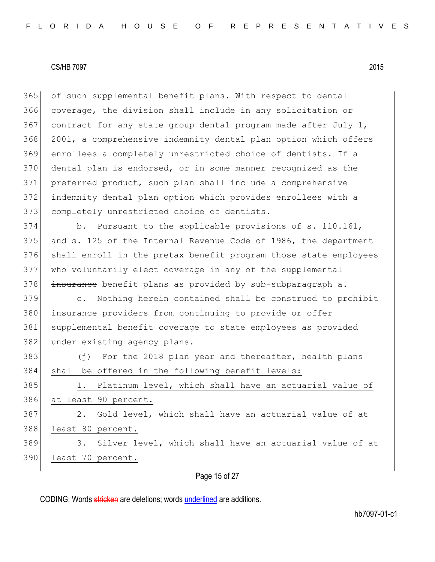of such supplemental benefit plans. With respect to dental coverage, the division shall include in any solicitation or 367 contract for any state group dental program made after July 1, 2001, a comprehensive indemnity dental plan option which offers enrollees a completely unrestricted choice of dentists. If a dental plan is endorsed, or in some manner recognized as the preferred product, such plan shall include a comprehensive indemnity dental plan option which provides enrollees with a 373 completely unrestricted choice of dentists.

 b. Pursuant to the applicable provisions of s. 110.161, and s. 125 of the Internal Revenue Code of 1986, the department shall enroll in the pretax benefit program those state employees who voluntarily elect coverage in any of the supplemental 378 insurance benefit plans as provided by sub-subparagraph a.

379 c. Nothing herein contained shall be construed to prohibit 380 insurance providers from continuing to provide or offer 381 supplemental benefit coverage to state employees as provided 382 under existing agency plans.

383 (j) For the 2018 plan year and thereafter, health plans 384 shall be offered in the following benefit levels: 385 1. Platinum level, which shall have an actuarial value of 386 at least 90 percent. 387 2. Gold level, which shall have an actuarial value of at 388 least 80 percent. 389 3. Silver level, which shall have an actuarial value of at 390 least 70 percent.

Page 15 of 27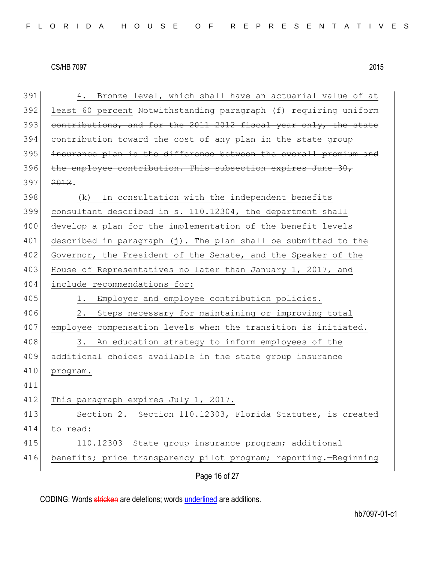| 391 | 4. Bronze level, which shall have an actuarial value of at       |
|-----|------------------------------------------------------------------|
| 392 | least 60 percent Notwithstanding paragraph (f) requiring uniform |
| 393 | contributions, and for the 2011-2012 fiscal year only, the state |
| 394 | contribution toward the cost of any plan in the state group      |
| 395 | insurance plan is the difference between the overall premium and |
| 396 | the employee contribution. This subsection expires June 30,      |
| 397 | 2012.                                                            |
| 398 | In consultation with the independent benefits<br>(k)             |
| 399 | consultant described in s. 110.12304, the department shall       |
| 400 | develop a plan for the implementation of the benefit levels      |
| 401 | described in paragraph (j). The plan shall be submitted to the   |
| 402 | Governor, the President of the Senate, and the Speaker of the    |
| 403 | House of Representatives no later than January 1, 2017, and      |
| 404 | include recommendations for:                                     |
| 405 | Employer and employee contribution policies.<br>1.               |
| 406 | Steps necessary for maintaining or improving total<br>2.         |
| 407 | employee compensation levels when the transition is initiated.   |
| 408 | 3.<br>An education strategy to inform employees of the           |
| 409 | additional choices available in the state group insurance        |
| 410 | program.                                                         |
| 411 |                                                                  |
| 412 | This paragraph expires July 1, 2017.                             |
| 413 | Section 2. Section 110.12303, Florida Statutes, is created       |
| 414 | to read:                                                         |
| 415 | 110.12303 State group insurance program; additional              |
| 416 | benefits; price transparency pilot program; reporting.-Beginning |
|     | Page 16 of 27                                                    |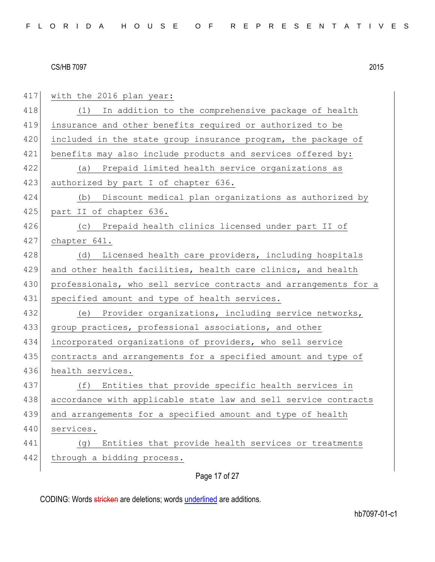417 with the 2016 plan year: 418 (1) In addition to the comprehensive package of health 419 insurance and other benefits required or authorized to be 420 included in the state group insurance program, the package of 421 benefits may also include products and services offered by: 422 (a) Prepaid limited health service organizations as 423 authorized by part I of chapter 636. 424 (b) Discount medical plan organizations as authorized by 425 part II of chapter 636. 426 (c) Prepaid health clinics licensed under part II of 427 chapter 641. 428 (d) Licensed health care providers, including hospitals 429 and other health facilities, health care clinics, and health 430 professionals, who sell service contracts and arrangements for a 431 specified amount and type of health services. 432 (e) Provider organizations, including service networks, 433 group practices, professional associations, and other 434 incorporated organizations of providers, who sell service 435 contracts and arrangements for a specified amount and type of 436 health services. 437 (f) Entities that provide specific health services in 438 accordance with applicable state law and sell service contracts 439 and arrangements for a specified amount and type of health 440 services. 441 (g) Entities that provide health services or treatments 442 through a bidding process.

Page 17 of 27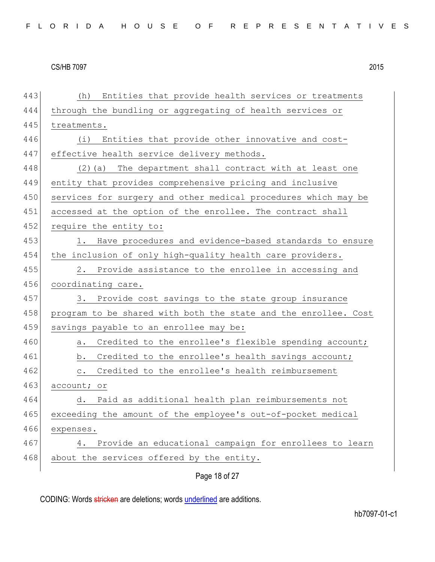Page 18 of 27 443 (h) Entities that provide health services or treatments 444 through the bundling or aggregating of health services or 445 treatments. 446 (i) Entities that provide other innovative and cost-447 effective health service delivery methods. 448 (2) (a) The department shall contract with at least one 449 entity that provides comprehensive pricing and inclusive 450 services for surgery and other medical procedures which may be 451 accessed at the option of the enrollee. The contract shall 452 require the entity to: 453 1. Have procedures and evidence-based standards to ensure 454 the inclusion of only high-quality health care providers. 455 2. Provide assistance to the enrollee in accessing and 456 coordinating care. 457 3. Provide cost savings to the state group insurance 458 program to be shared with both the state and the enrollee. Cost 459 savings payable to an enrollee may be: 460 a. Credited to the enrollee's flexible spending account; 461 b. Credited to the enrollee's health savings account; 462 c. Credited to the enrollee's health reimbursement 463 account; or 464 d. Paid as additional health plan reimbursements not 465 exceeding the amount of the employee's out-of-pocket medical 466 expenses. 467 4. Provide an educational campaign for enrollees to learn 468 about the services offered by the entity.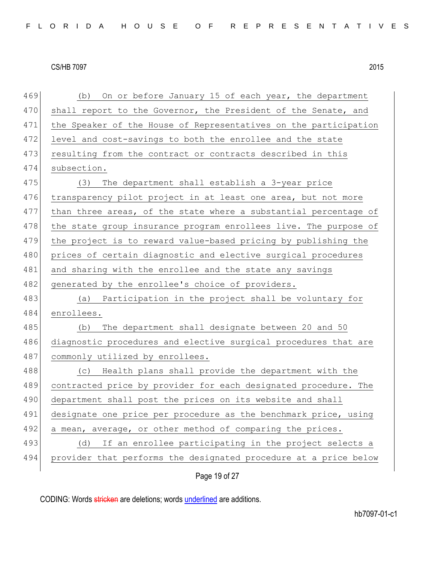Page 19 of 27 469 (b) On or before January 15 of each year, the department 470 shall report to the Governor, the President of the Senate, and 471 the Speaker of the House of Representatives on the participation 472 level and cost-savings to both the enrollee and the state 473 resulting from the contract or contracts described in this 474 subsection. 475 (3) The department shall establish a 3-year price 476 transparency pilot project in at least one area, but not more 477 than three areas, of the state where a substantial percentage of 478 the state group insurance program enrollees live. The purpose of 479 the project is to reward value-based pricing by publishing the 480 prices of certain diagnostic and elective surgical procedures 481 and sharing with the enrollee and the state any savings 482 generated by the enrollee's choice of providers. 483 (a) Participation in the project shall be voluntary for 484 enrollees. 485 (b) The department shall designate between 20 and 50 486 diagnostic procedures and elective surgical procedures that are 487 commonly utilized by enrollees. 488 (c) Health plans shall provide the department with the 489 contracted price by provider for each designated procedure. The 490 department shall post the prices on its website and shall 491 designate one price per procedure as the benchmark price, using 492 a mean, average, or other method of comparing the prices. 493 (d) If an enrollee participating in the project selects a 494 provider that performs the designated procedure at a price below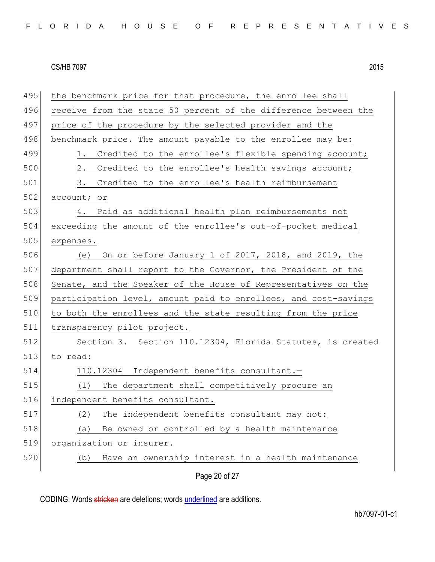| 495 | the benchmark price for that procedure, the enrollee shall      |
|-----|-----------------------------------------------------------------|
| 496 | receive from the state 50 percent of the difference between the |
| 497 | price of the procedure by the selected provider and the         |
| 498 | benchmark price. The amount payable to the enrollee may be:     |
| 499 | Credited to the enrollee's flexible spending account;<br>1.     |
| 500 | 2.<br>Credited to the enrollee's health savings account;        |
| 501 | 3.<br>Credited to the enrollee's health reimbursement           |
| 502 | account; or                                                     |
| 503 | Paid as additional health plan reimbursements not<br>4.         |
| 504 | exceeding the amount of the enrollee's out-of-pocket medical    |
| 505 | expenses.                                                       |
| 506 | On or before January 1 of 2017, 2018, and 2019, the<br>(e)      |
| 507 | department shall report to the Governor, the President of the   |
| 508 | Senate, and the Speaker of the House of Representatives on the  |
| 509 | participation level, amount paid to enrollees, and cost-savings |
| 510 | to both the enrollees and the state resulting from the price    |
| 511 | transparency pilot project.                                     |
| 512 | Section 3. Section 110.12304, Florida Statutes, is created      |
| 513 | to read:                                                        |
| 514 | 110.12304 Independent benefits consultant.-                     |
| 515 | The department shall competitively procure an<br>(1)            |
| 516 | independent benefits consultant.                                |
| 517 | The independent benefits consultant may not:<br>(2)             |
| 518 | Be owned or controlled by a health maintenance<br>(a)           |
| 519 | organization or insurer.                                        |
| 520 | Have an ownership interest in a health maintenance<br>(b)       |
|     | Page 20 of 27                                                   |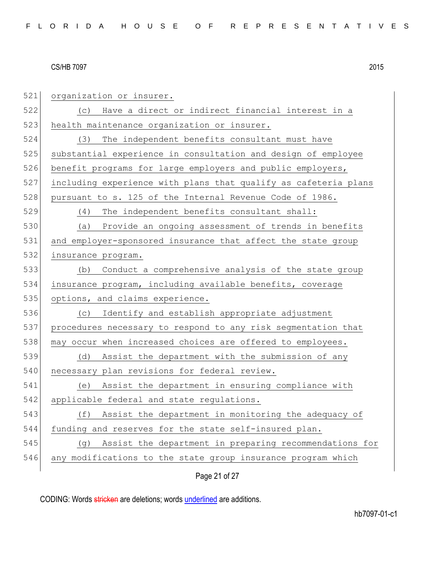521 organization or insurer. 522 (c) Have a direct or indirect financial interest in a 523 health maintenance organization or insurer. 524 (3) The independent benefits consultant must have 525 substantial experience in consultation and design of employee 526 benefit programs for large employers and public employers, 527 including experience with plans that qualify as cafeteria plans 528 pursuant to s. 125 of the Internal Revenue Code of 1986. 529 (4) The independent benefits consultant shall: 530 (a) Provide an ongoing assessment of trends in benefits 531 and employer-sponsored insurance that affect the state group 532 insurance program. 533 (b) Conduct a comprehensive analysis of the state group 534 insurance program, including available benefits, coverage 535 options, and claims experience. 536 (c) Identify and establish appropriate adjustment 537 procedures necessary to respond to any risk segmentation that 538 may occur when increased choices are offered to employees. 539 (d) Assist the department with the submission of any 540 necessary plan revisions for federal review. 541 (e) Assist the department in ensuring compliance with 542 applicable federal and state regulations. 543 (f) Assist the department in monitoring the adequacy of 544 funding and reserves for the state self-insured plan. 545 (g) Assist the department in preparing recommendations for 546 any modifications to the state group insurance program which

Page 21 of 27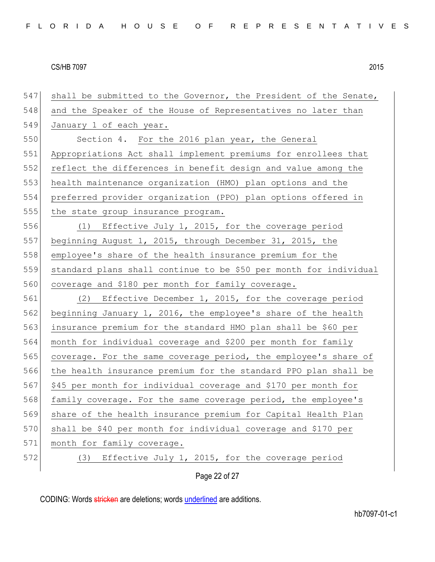| 547 | shall be submitted to the Governor, the President of the Senate,  |
|-----|-------------------------------------------------------------------|
| 548 | and the Speaker of the House of Representatives no later than     |
| 549 | January 1 of each year.                                           |
| 550 | Section 4. For the 2016 plan year, the General                    |
| 551 | Appropriations Act shall implement premiums for enrollees that    |
| 552 | reflect the differences in benefit design and value among the     |
| 553 | health maintenance organization (HMO) plan options and the        |
| 554 | preferred provider organization (PPO) plan options offered in     |
| 555 | the state group insurance program.                                |
| 556 | (1) Effective July 1, 2015, for the coverage period               |
| 557 | beginning August 1, 2015, through December 31, 2015, the          |
| 558 | employee's share of the health insurance premium for the          |
| 559 | standard plans shall continue to be \$50 per month for individual |
| 560 | coverage and \$180 per month for family coverage.                 |
| 561 | (2) Effective December 1, 2015, for the coverage period           |
| 562 | beginning January 1, 2016, the employee's share of the health     |
| 563 | insurance premium for the standard HMO plan shall be \$60 per     |
| 564 | month for individual coverage and \$200 per month for family      |
| 565 | coverage. For the same coverage period, the employee's share of   |
| 566 | the health insurance premium for the standard PPO plan shall be   |
| 567 | \$45 per month for individual coverage and \$170 per month for    |
| 568 | family coverage. For the same coverage period, the employee's     |
| 569 | share of the health insurance premium for Capital Health Plan     |
| 570 | shall be \$40 per month for individual coverage and \$170 per     |
| 571 | month for family coverage.                                        |
| 572 | Effective July 1, 2015, for the coverage period<br>(3)            |
|     | Page 22 of 27                                                     |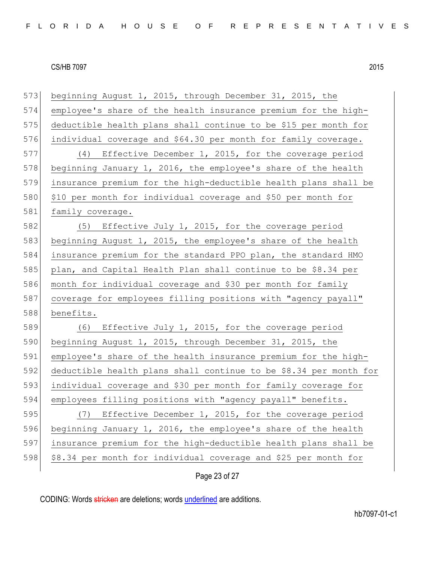beginning August 1, 2015, through December 31, 2015, the employee's share of the health insurance premium for the high- deductible health plans shall continue to be \$15 per month for individual coverage and \$64.30 per month for family coverage. (4) Effective December 1, 2015, for the coverage period 578 beginning January 1, 2016, the employee's share of the health insurance premium for the high-deductible health plans shall be \$10 per month for individual coverage and \$50 per month for 581 family coverage. 582 (5) Effective July 1, 2015, for the coverage period beginning August 1, 2015, the employee's share of the health insurance premium for the standard PPO plan, the standard HMO 585 plan, and Capital Health Plan shall continue to be \$8.34 per month for individual coverage and \$30 per month for family 587 coverage for employees filling positions with "agency payall" benefits. 589 (6) Effective July 1, 2015, for the coverage period 590 beginning August 1, 2015, through December 31, 2015, the employee's share of the health insurance premium for the high- deductible health plans shall continue to be \$8.34 per month for individual coverage and \$30 per month for family coverage for employees filling positions with "agency payall" benefits. (7) Effective December 1, 2015, for the coverage period beginning January 1, 2016, the employee's share of the health insurance premium for the high-deductible health plans shall be \$8.34 per month for individual coverage and \$25 per month for

Page 23 of 27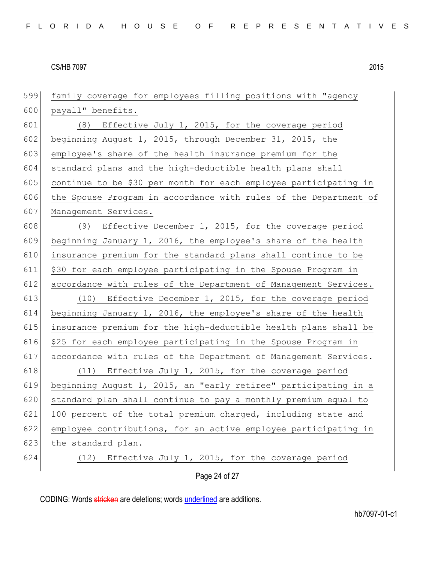| 599 | family coverage for employees filling positions with "agency     |
|-----|------------------------------------------------------------------|
| 600 | payall" benefits.                                                |
| 601 | (8) Effective July 1, 2015, for the coverage period              |
| 602 | beginning August 1, 2015, through December 31, 2015, the         |
| 603 | employee's share of the health insurance premium for the         |
| 604 | standard plans and the high-deductible health plans shall        |
| 605 | continue to be \$30 per month for each employee participating in |
| 606 | the Spouse Program in accordance with rules of the Department of |
| 607 | Management Services.                                             |
| 608 | (9) Effective December 1, 2015, for the coverage period          |
| 609 | beginning January 1, 2016, the employee's share of the health    |
| 610 | insurance premium for the standard plans shall continue to be    |
| 611 | \$30 for each employee participating in the Spouse Program in    |
| 612 | accordance with rules of the Department of Management Services.  |
| 613 | (10) Effective December 1, 2015, for the coverage period         |
| 614 | beginning January 1, 2016, the employee's share of the health    |
| 615 | insurance premium for the high-deductible health plans shall be  |
| 616 | \$25 for each employee participating in the Spouse Program in    |
| 617 | accordance with rules of the Department of Management Services.  |
| 618 | (11) Effective July 1, 2015, for the coverage period             |
| 619 | beginning August 1, 2015, an "early retiree" participating in a  |
| 620 | standard plan shall continue to pay a monthly premium equal to   |
| 621 | 100 percent of the total premium charged, including state and    |
| 622 | employee contributions, for an active employee participating in  |
| 623 | the standard plan.                                               |
| 624 | Effective July 1, 2015, for the coverage period<br>(12)          |
|     | Page 24 of 27                                                    |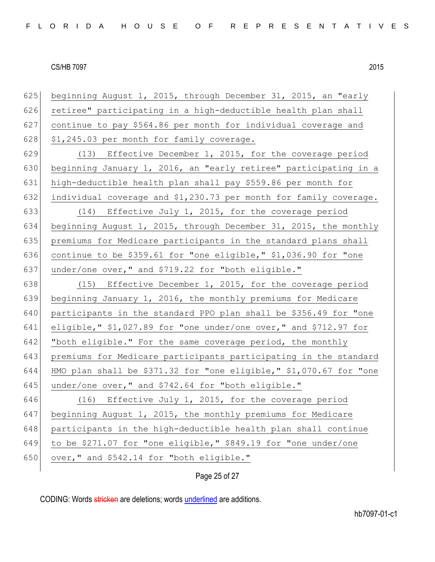| 625 | beginning August 1, 2015, through December 31, 2015, an "early     |
|-----|--------------------------------------------------------------------|
| 626 | retiree" participating in a high-deductible health plan shall      |
| 627 | continue to pay \$564.86 per month for individual coverage and     |
| 628 | \$1,245.03 per month for family coverage.                          |
| 629 | (13) Effective December 1, 2015, for the coverage period           |
| 630 | beginning January 1, 2016, an "early retiree" participating in a   |
| 631 | high-deductible health plan shall pay \$559.86 per month for       |
| 632 | individual coverage and \$1,230.73 per month for family coverage.  |
| 633 | (14) Effective July 1, 2015, for the coverage period               |
| 634 | beginning August 1, 2015, through December 31, 2015, the monthly   |
| 635 | premiums for Medicare participants in the standard plans shall     |
| 636 | continue to be \$359.61 for "one eligible," \$1,036.90 for "one    |
| 637 | under/one over," and \$719.22 for "both eligible."                 |
| 638 | (15) Effective December 1, 2015, for the coverage period           |
| 639 | beginning January 1, 2016, the monthly premiums for Medicare       |
| 640 | participants in the standard PPO plan shall be \$356.49 for "one   |
| 641 | eligible," $$1,027.89$ for "one under/one over," and $$712.97$ for |
| 642 | "both eligible." For the same coverage period, the monthly         |
| 643 | premiums for Medicare participants participating in the standard   |
| 644 | HMO plan shall be \$371.32 for "one eligible," \$1,070.67 for "one |
| 645 | under/one over," and \$742.64 for "both eligible."                 |
| 646 | (16) Effective July 1, 2015, for the coverage period               |
| 647 | beginning August 1, 2015, the monthly premiums for Medicare        |
| 648 | participants in the high-deductible health plan shall continue     |
| 649 | to be \$271.07 for "one eligible," \$849.19 for "one under/one     |
| 650 | over," and \$542.14 for "both eligible."                           |

Page 25 of 27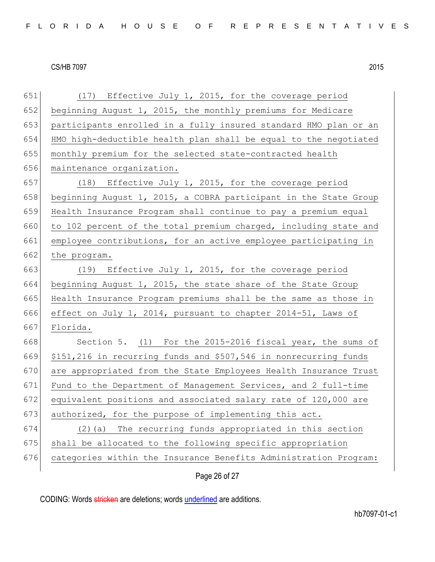| 651 | (17) Effective July 1, 2015, for the coverage period             |
|-----|------------------------------------------------------------------|
| 652 | beginning August 1, 2015, the monthly premiums for Medicare      |
| 653 | participants enrolled in a fully insured standard HMO plan or an |
| 654 | HMO high-deductible health plan shall be equal to the negotiated |
| 655 | monthly premium for the selected state-contracted health         |
| 656 | maintenance organization.                                        |
| 657 | (18) Effective July 1, 2015, for the coverage period             |
| 658 | beginning August 1, 2015, a COBRA participant in the State Group |
| 659 | Health Insurance Program shall continue to pay a premium equal   |
| 660 | to 102 percent of the total premium charged, including state and |
| 661 | employee contributions, for an active employee participating in  |
| 662 | the program.                                                     |
| 663 | (19) Effective July 1, 2015, for the coverage period             |
| 664 | beginning August 1, 2015, the state share of the State Group     |
| 665 | Health Insurance Program premiums shall be the same as those in  |
| 666 | effect on July 1, 2014, pursuant to chapter 2014-51, Laws of     |
| 667 | Florida.                                                         |
| 668 | Section 5. (1) For the 2015-2016 fiscal year, the sums of        |
| 669 | \$151,216 in recurring funds and \$507,546 in nonrecurring funds |
| 670 | are appropriated from the State Employees Health Insurance Trust |
| 671 | Fund to the Department of Management Services, and 2 full-time   |
| 672 | equivalent positions and associated salary rate of 120,000 are   |
| 673 | authorized, for the purpose of implementing this act.            |
| 674 | The recurring funds appropriated in this section<br>$(2)$ (a)    |
| 675 | shall be allocated to the following specific appropriation       |
| 676 | categories within the Insurance Benefits Administration Program: |
|     | Page 26 of 27                                                    |